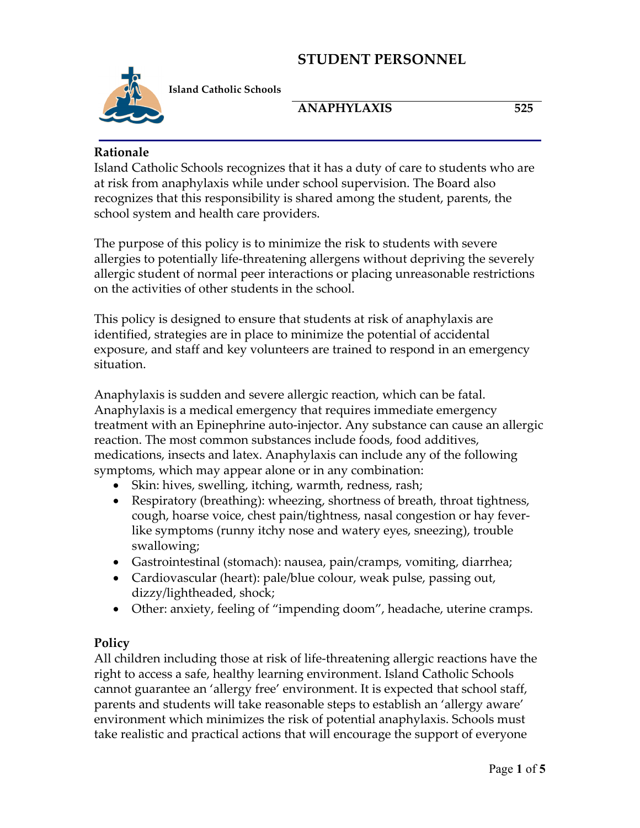

**Island Catholic Schools** 

# **ANAPHYLAXIS 525**

#### **Rationale**

Island Catholic Schools recognizes that it has a duty of care to students who are at risk from anaphylaxis while under school supervision. The Board also recognizes that this responsibility is shared among the student, parents, the school system and health care providers.

The purpose of this policy is to minimize the risk to students with severe allergies to potentially life-threatening allergens without depriving the severely allergic student of normal peer interactions or placing unreasonable restrictions on the activities of other students in the school.

This policy is designed to ensure that students at risk of anaphylaxis are identified, strategies are in place to minimize the potential of accidental exposure, and staff and key volunteers are trained to respond in an emergency situation.

Anaphylaxis is sudden and severe allergic reaction, which can be fatal. Anaphylaxis is a medical emergency that requires immediate emergency treatment with an Epinephrine auto-injector. Any substance can cause an allergic reaction. The most common substances include foods, food additives, medications, insects and latex. Anaphylaxis can include any of the following symptoms, which may appear alone or in any combination:

- Skin: hives, swelling, itching, warmth, redness, rash;
- Respiratory (breathing): wheezing, shortness of breath, throat tightness, cough, hoarse voice, chest pain/tightness, nasal congestion or hay feverlike symptoms (runny itchy nose and watery eyes, sneezing), trouble swallowing;
- Gastrointestinal (stomach): nausea, pain/cramps, vomiting, diarrhea;
- Cardiovascular (heart): pale/blue colour, weak pulse, passing out, dizzy/lightheaded, shock;
- Other: anxiety, feeling of "impending doom", headache, uterine cramps.

## **Policy**

All children including those at risk of life-threatening allergic reactions have the right to access a safe, healthy learning environment. Island Catholic Schools cannot guarantee an 'allergy free' environment. It is expected that school staff, parents and students will take reasonable steps to establish an 'allergy aware' environment which minimizes the risk of potential anaphylaxis. Schools must take realistic and practical actions that will encourage the support of everyone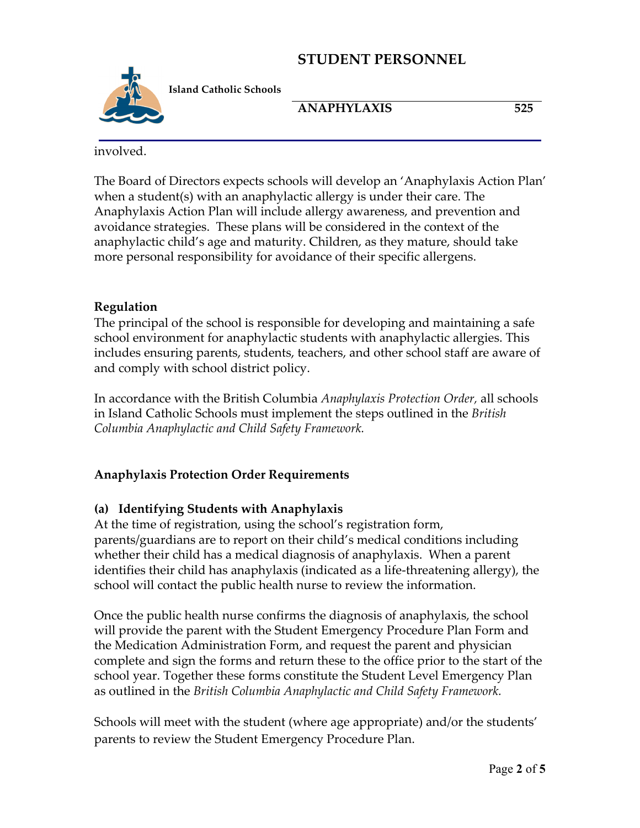

**Island Catholic Schools** 

**ANAPHYLAXIS 525**

involved.

The Board of Directors expects schools will develop an 'Anaphylaxis Action Plan' when a student(s) with an anaphylactic allergy is under their care. The Anaphylaxis Action Plan will include allergy awareness, and prevention and avoidance strategies. These plans will be considered in the context of the anaphylactic child's age and maturity. Children, as they mature, should take more personal responsibility for avoidance of their specific allergens.

## **Regulation**

The principal of the school is responsible for developing and maintaining a safe school environment for anaphylactic students with anaphylactic allergies. This includes ensuring parents, students, teachers, and other school staff are aware of and comply with school district policy.

In accordance with the British Columbia *Anaphylaxis Protection Order,* all schools in Island Catholic Schools must implement the steps outlined in the *British Columbia Anaphylactic and Child Safety Framework.*

# **Anaphylaxis Protection Order Requirements**

# **(a) Identifying Students with Anaphylaxis**

At the time of registration, using the school's registration form, parents/guardians are to report on their child's medical conditions including whether their child has a medical diagnosis of anaphylaxis. When a parent identifies their child has anaphylaxis (indicated as a life-threatening allergy), the school will contact the public health nurse to review the information.

Once the public health nurse confirms the diagnosis of anaphylaxis, the school will provide the parent with the Student Emergency Procedure Plan Form and the Medication Administration Form, and request the parent and physician complete and sign the forms and return these to the office prior to the start of the school year. Together these forms constitute the Student Level Emergency Plan as outlined in the *British Columbia Anaphylactic and Child Safety Framework.*

Schools will meet with the student (where age appropriate) and/or the students' parents to review the Student Emergency Procedure Plan.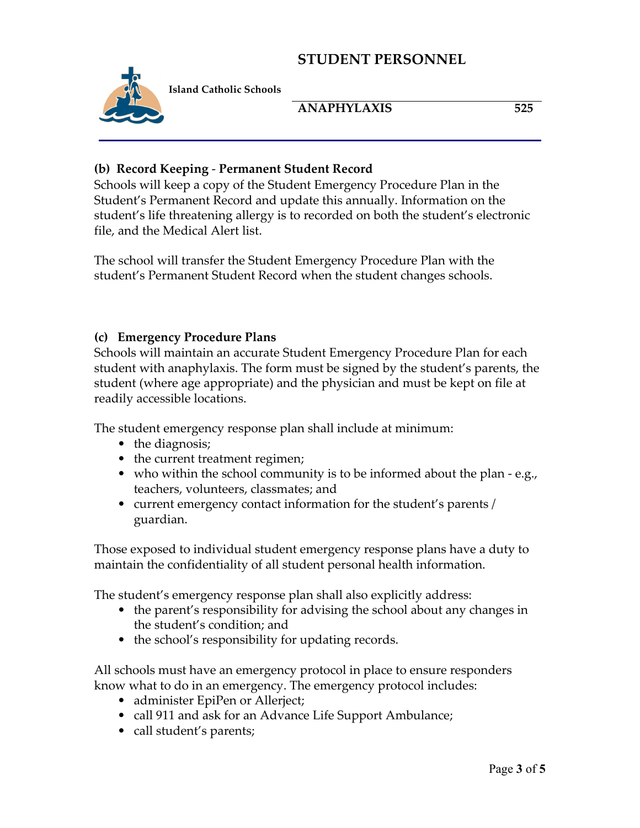

**Island Catholic Schools** 

## **ANAPHYLAXIS 525**

#### **(b) Record Keeping** - **Permanent Student Record**

Schools will keep a copy of the Student Emergency Procedure Plan in the Student's Permanent Record and update this annually. Information on the student's life threatening allergy is to recorded on both the student's electronic file, and the Medical Alert list.

The school will transfer the Student Emergency Procedure Plan with the student's Permanent Student Record when the student changes schools.

#### **(c) Emergency Procedure Plans**

Schools will maintain an accurate Student Emergency Procedure Plan for each student with anaphylaxis. The form must be signed by the student's parents, the student (where age appropriate) and the physician and must be kept on file at readily accessible locations.

The student emergency response plan shall include at minimum:

- the diagnosis;
- the current treatment regimen;
- who within the school community is to be informed about the plan e.g., teachers, volunteers, classmates; and
- current emergency contact information for the student's parents / guardian.

Those exposed to individual student emergency response plans have a duty to maintain the confidentiality of all student personal health information.

The student's emergency response plan shall also explicitly address:

- the parent's responsibility for advising the school about any changes in the student's condition; and
- the school's responsibility for updating records.

All schools must have an emergency protocol in place to ensure responders know what to do in an emergency. The emergency protocol includes:

- administer EpiPen or Allerject;
- call 911 and ask for an Advance Life Support Ambulance;
- call student's parents;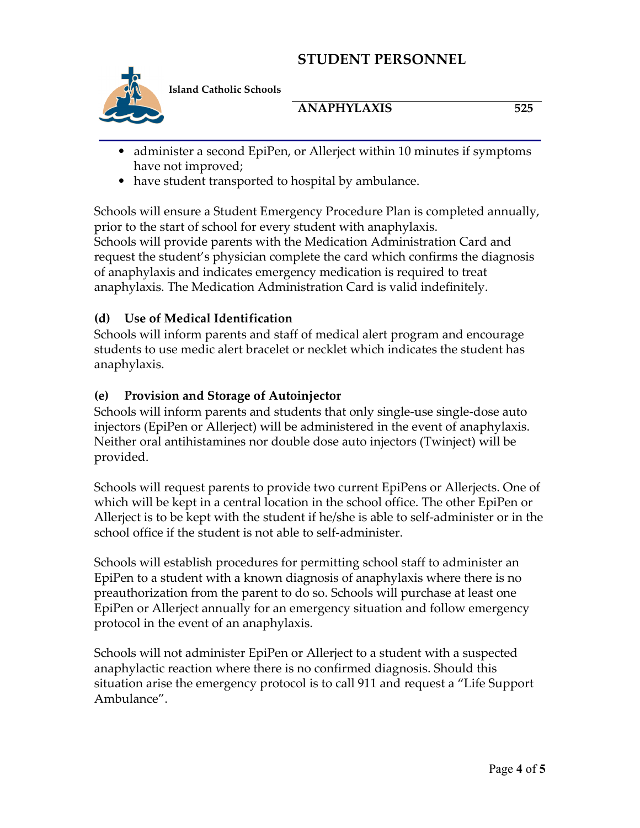

**Island Catholic Schools** 

# **ANAPHYLAXIS 525**

- administer a second EpiPen, or Allerject within 10 minutes if symptoms have not improved;
- have student transported to hospital by ambulance.

Schools will ensure a Student Emergency Procedure Plan is completed annually, prior to the start of school for every student with anaphylaxis. Schools will provide parents with the Medication Administration Card and request the student's physician complete the card which confirms the diagnosis of anaphylaxis and indicates emergency medication is required to treat anaphylaxis. The Medication Administration Card is valid indefinitely.

# **(d) Use of Medical Identification**

Schools will inform parents and staff of medical alert program and encourage students to use medic alert bracelet or necklet which indicates the student has anaphylaxis.

# **(e) Provision and Storage of Autoinjector**

Schools will inform parents and students that only single-use single-dose auto injectors (EpiPen or Allerject) will be administered in the event of anaphylaxis. Neither oral antihistamines nor double dose auto injectors (Twinject) will be provided.

Schools will request parents to provide two current EpiPens or Allerjects. One of which will be kept in a central location in the school office. The other EpiPen or Allerject is to be kept with the student if he/she is able to self-administer or in the school office if the student is not able to self-administer.

Schools will establish procedures for permitting school staff to administer an EpiPen to a student with a known diagnosis of anaphylaxis where there is no preauthorization from the parent to do so. Schools will purchase at least one EpiPen or Allerject annually for an emergency situation and follow emergency protocol in the event of an anaphylaxis.

Schools will not administer EpiPen or Allerject to a student with a suspected anaphylactic reaction where there is no confirmed diagnosis. Should this situation arise the emergency protocol is to call 911 and request a "Life Support Ambulance".